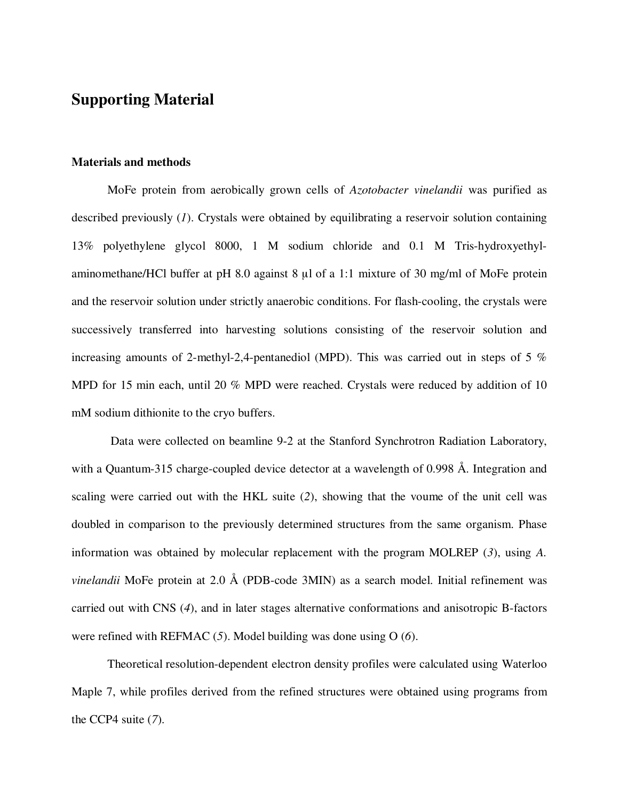## **Supporting Material**

## **Materials and methods**

MoFe protein from aerobically grown cells of *Azotobacter vinelandii* was purified as described previously (*1*). Crystals were obtained by equilibrating a reservoir solution containing 13% polyethylene glycol 8000, 1 M sodium chloride and 0.1 M Tris-hydroxyethylaminomethane/HCl buffer at pH 8.0 against 8 µl of a 1:1 mixture of 30 mg/ml of MoFe protein and the reservoir solution under strictly anaerobic conditions. For flash-cooling, the crystals were successively transferred into harvesting solutions consisting of the reservoir solution and increasing amounts of 2-methyl-2,4-pentanediol (MPD). This was carried out in steps of 5 % MPD for 15 min each, until 20 % MPD were reached. Crystals were reduced by addition of 10 mM sodium dithionite to the cryo buffers.

 Data were collected on beamline 9-2 at the Stanford Synchrotron Radiation Laboratory, with a Quantum-315 charge-coupled device detector at a wavelength of 0.998 Å. Integration and scaling were carried out with the HKL suite (*2*), showing that the voume of the unit cell was doubled in comparison to the previously determined structures from the same organism. Phase information was obtained by molecular replacement with the program MOLREP (*3*), using *A. vinelandii* MoFe protein at 2.0 Å (PDB-code 3MIN) as a search model. Initial refinement was carried out with CNS (*4*), and in later stages alternative conformations and anisotropic B-factors were refined with REFMAC (*5*). Model building was done using O (*6*).

Theoretical resolution-dependent electron density profiles were calculated using Waterloo Maple 7, while profiles derived from the refined structures were obtained using programs from the CCP4 suite (*7*).